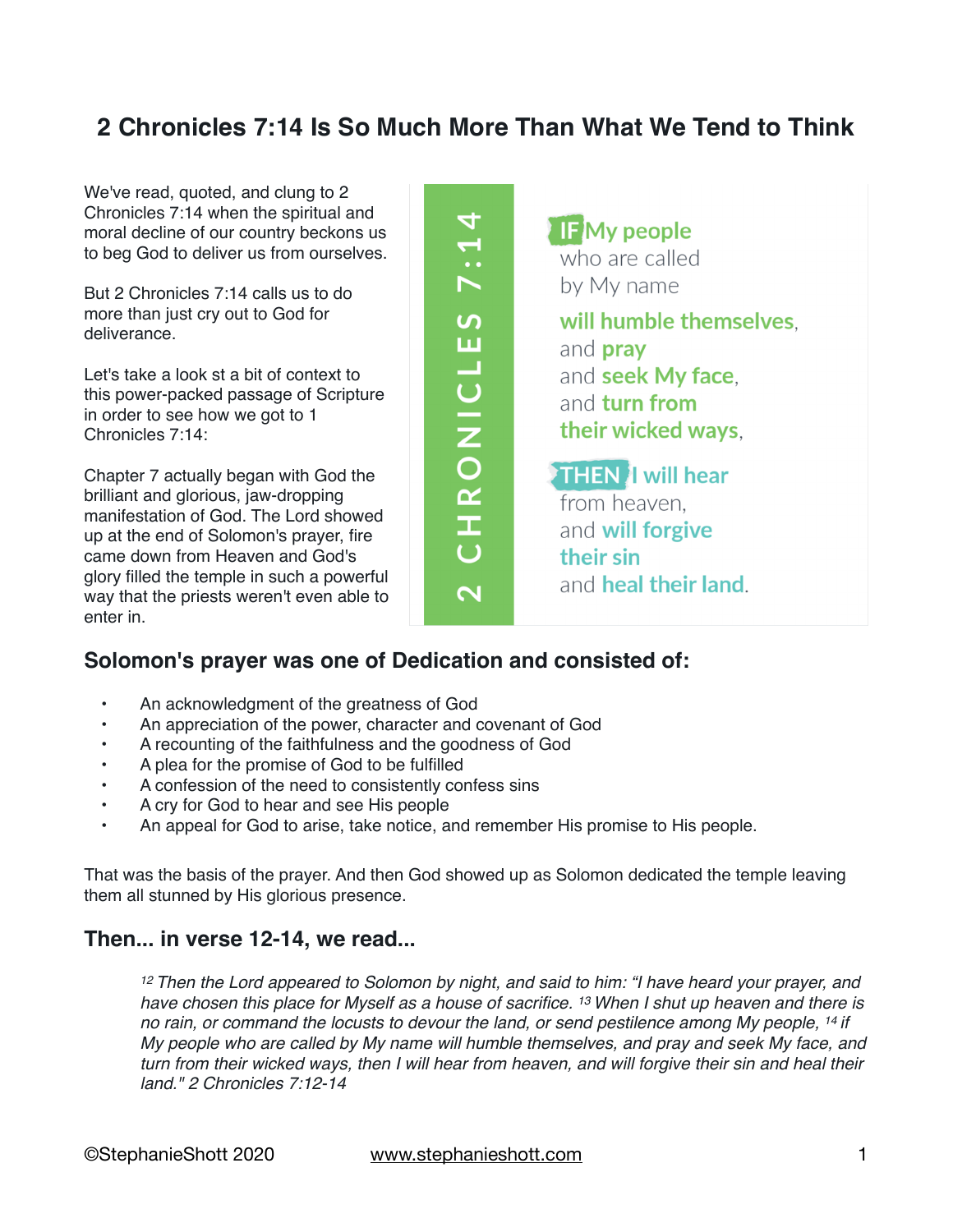### **2 Chronicles 7:14 Is So Much More Than What We Tend to Think**

CHRONICLES 7:14

 $\overline{\mathbf{N}}$ 

We've read, quoted, and clung to 2 Chronicles 7:14 when the spiritual and moral decline of our country beckons us to beg God to deliver us from ourselves.

But 2 Chronicles 7:14 calls us to do more than just cry out to God for deliverance.

Let's take a look st a bit of context to this power-packed passage of Scripture in order to see how we got to 1 Chronicles 7:14:

Chapter 7 actually began with God the brilliant and glorious, jaw-dropping manifestation of God. The Lord showed up at the end of Solomon's prayer, fire came down from Heaven and God's glory filled the temple in such a powerful way that the priests weren't even able to enter in.

**IFMy people** who are called by My name will humble themselves. and **pray** and seek My face. and turn from their wicked ways. **THEN** I will hear from heaven. and will forgive their sin and heal their land.

#### **Solomon's prayer was one of Dedication and consisted of:**

- An acknowledgment of the greatness of God
- An appreciation of the power, character and covenant of God
- A recounting of the faithfulness and the goodness of God
- A plea for the promise of God to be fulfilled
- A confession of the need to consistently confess sins
- A cry for God to hear and see His people
- An appeal for God to arise, take notice, and remember His promise to His people.

That was the basis of the prayer. And then God showed up as Solomon dedicated the temple leaving them all stunned by His glorious presence.

#### **Then... in verse 12-14, we read...**

*<sup>12</sup> Then the Lord appeared to Solomon by night, and said to him: "I have heard your prayer, and have chosen this place for Myself as a house of sacrifice. 13 When I shut up heaven and there is no rain, or command the locusts to devour the land, or send pestilence among My people, 14 if My people who are called by My name will humble themselves, and pray and seek My face, and turn from their wicked ways, then I will hear from heaven, and will forgive their sin and heal their land." 2 Chronicles 7:12-14*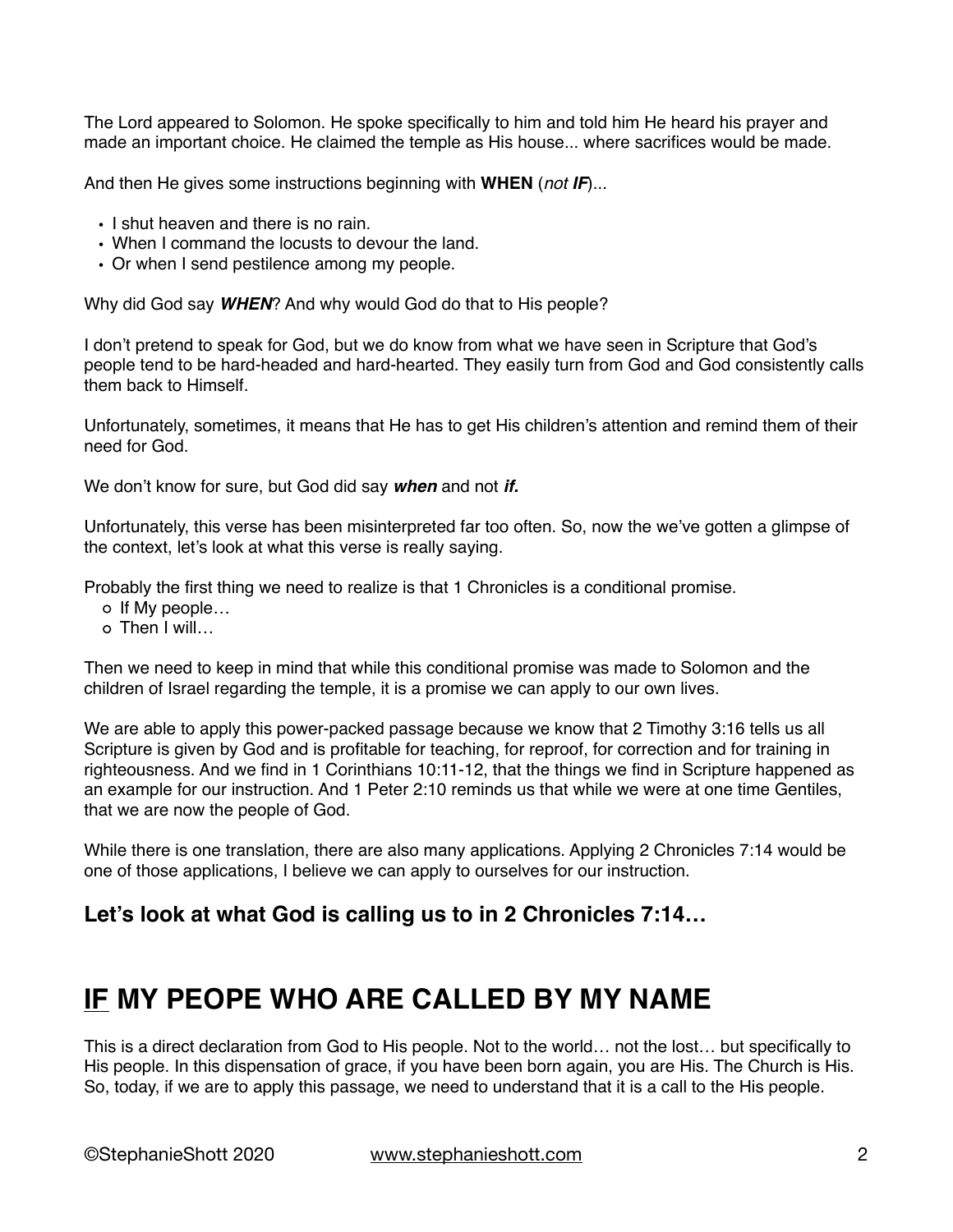The Lord appeared to Solomon. He spoke specifically to him and told him He heard his prayer and made an important choice. He claimed the temple as His house... where sacrifices would be made.

And then He gives some instructions beginning with **WHEN** (*not IF*)...

- I shut heaven and there is no rain.
- When I command the locusts to devour the land.
- Or when I send pestilence among my people.

Why did God say *WHEN*? And why would God do that to His people?

I don't pretend to speak for God, but we do know from what we have seen in Scripture that God's people tend to be hard-headed and hard-hearted. They easily turn from God and God consistently calls them back to Himself.

Unfortunately, sometimes, it means that He has to get His children's attention and remind them of their need for God.

We don't know for sure, but God did say *when* and not *if.*

Unfortunately, this verse has been misinterpreted far too often. So, now the we've gotten a glimpse of the context, let's look at what this verse is really saying.

Probably the first thing we need to realize is that 1 Chronicles is a conditional promise.

- o If My people...
- o Then I will

Then we need to keep in mind that while this conditional promise was made to Solomon and the children of Israel regarding the temple, it is a promise we can apply to our own lives.

We are able to apply this power-packed passage because we know that 2 Timothy 3:16 tells us all Scripture is given by God and is profitable for teaching, for reproof, for correction and for training in righteousness. And we find in 1 Corinthians 10:11-12, that the things we find in Scripture happened as an example for our instruction. And 1 Peter 2:10 reminds us that while we were at one time Gentiles, that we are now the people of God.

While there is one translation, there are also many applications. Applying 2 Chronicles 7:14 would be one of those applications, I believe we can apply to ourselves for our instruction.

#### **Let's look at what God is calling us to in 2 Chronicles 7:14…**

### **IF MY PEOPE WHO ARE CALLED BY MY NAME**

This is a direct declaration from God to His people. Not to the world… not the lost… but specifically to His people. In this dispensation of grace, if you have been born again, you are His. The Church is His. So, today, if we are to apply this passage, we need to understand that it is a call to the His people.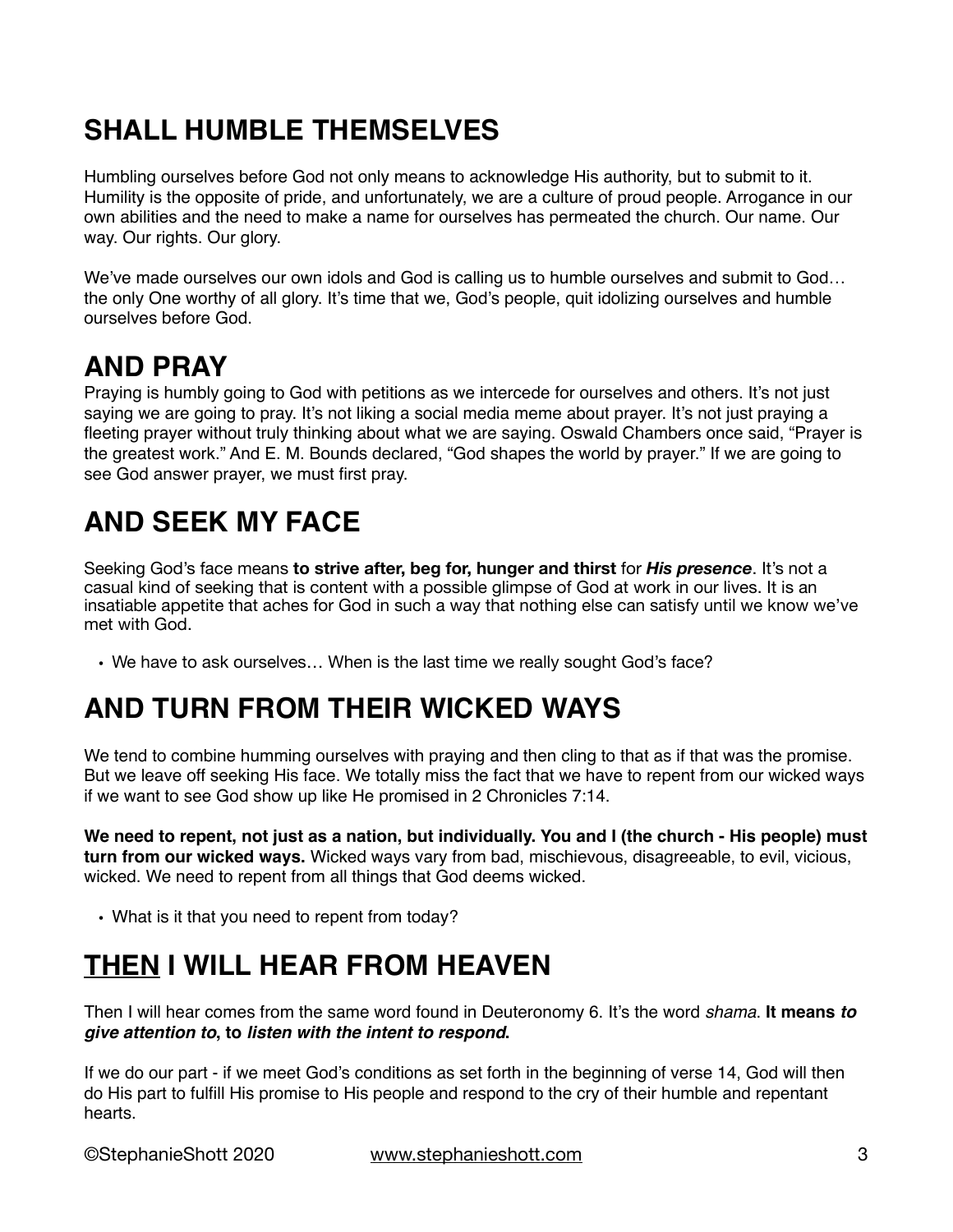# **SHALL HUMBLE THEMSELVES**

Humbling ourselves before God not only means to acknowledge His authority, but to submit to it. Humility is the opposite of pride, and unfortunately, we are a culture of proud people. Arrogance in our own abilities and the need to make a name for ourselves has permeated the church. Our name. Our way. Our rights. Our glory.

We've made ourselves our own idols and God is calling us to humble ourselves and submit to God… the only One worthy of all glory. It's time that we, God's people, quit idolizing ourselves and humble ourselves before God.

### **AND PRAY**

Praying is humbly going to God with petitions as we intercede for ourselves and others. It's not just saying we are going to pray. It's not liking a social media meme about prayer. It's not just praying a fleeting prayer without truly thinking about what we are saying. Oswald Chambers once said, "Prayer is the greatest work." And E. M. Bounds declared, "God shapes the world by prayer." If we are going to see God answer prayer, we must first pray.

# **AND SEEK MY FACE**

Seeking God's face means **to strive after, beg for, hunger and thirst** for *His presence*. It's not a casual kind of seeking that is content with a possible glimpse of God at work in our lives. It is an insatiable appetite that aches for God in such a way that nothing else can satisfy until we know we've met with God.

• We have to ask ourselves… When is the last time we really sought God's face?

## **AND TURN FROM THEIR WICKED WAYS**

We tend to combine humming ourselves with praying and then cling to that as if that was the promise. But we leave off seeking His face. We totally miss the fact that we have to repent from our wicked ways if we want to see God show up like He promised in 2 Chronicles 7:14.

**We need to repent, not just as a nation, but individually. You and I (the church - His people) must turn from our wicked ways.** Wicked ways vary from bad, mischievous, disagreeable, to evil, vicious, wicked. We need to repent from all things that God deems wicked.

• What is it that you need to repent from today?

# **THEN I WILL HEAR FROM HEAVEN**

Then I will hear comes from the same word found in Deuteronomy 6. It's the word *shama*. **It means** *to give attention to***, to** *listen with the intent to respond***.** 

If we do our part - if we meet God's conditions as set forth in the beginning of verse 14, God will then do His part to fulfill His promise to His people and respond to the cry of their humble and repentant hearts.